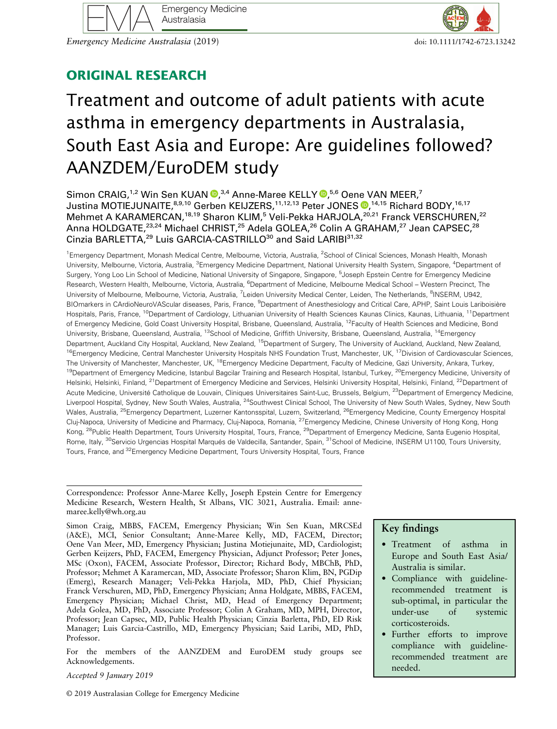

Emergency Medicine Australasia (2019) doi: 10.111/1742-6723.13242



# ORIGINAL RESEARCH

# Treatment and outcome of adult patients with acute asthma in emergency departments in Australasia, South East Asia and Europe: Are guidelines followed? AANZDEM/EuroDEM study

Simon CRAIG[,](https://orcid.org/0000-0002-4655-5023)<sup>1,2</sup> Win Sen KUAN (D,<sup>3,4</sup> Anne-Maree KELLY <sup>(D,5,6</sup> Oene VAN MEER,<sup>7</sup> Justina MOTIEJUNAITE,<sup>8,9,10</sup> Gerben KEIJZERS,<sup>11,12,13</sup> Peter JONES <sup>(14,15</sup> Richard BODY, <sup>16,17</sup> Mehmet A KARAMERCAN,<sup>18,19</sup> Sharon KLIM,<sup>5</sup> Veli-Pekka HARJOLA,<sup>20,21</sup> Franck VERSCHUREN,<sup>22</sup> Anna HOLDGATE, 23,24 Michael CHRIST, 25 Adela GOLEA, 26 Colin A GRAHAM, 27 Jean CAPSEC, 28 Cinzia BARLETTA,<sup>29</sup> Luis GARCIA-CASTRILLO<sup>30</sup> and Said LARIBI<sup>31,32</sup>

<sup>1</sup>Emergency Department, Monash Medical Centre, Melbourne, Victoria, Australia, <sup>2</sup>School of Clinical Sciences, Monash Health, Monash University, Melbourne, Victoria, Australia, <sup>3</sup>Emergency Medicine Department, National University Health System, Singapore, <sup>4</sup>Department of Surgery, Yong Loo Lin School of Medicine, National University of Singapore, Singapore, <sup>5</sup>Joseph Epstein Centre for Emergency Medicine Research, Western Health, Melbourne, Victoria, Australia, <sup>6</sup>Department of Medicine, Melbourne Medical School – Western Precinct, The University of Melbourne, Melbourne, Victoria, Australia, <sup>7</sup>Leiden University Medical Center, Leiden, The Netherlands, <sup>8</sup>INSERM, U942, BIOmarkers in CArdioNeuroVAScular diseases, Paris, France, <sup>9</sup>Department of Anesthesiology and Critical Care, APHP, Saint Louis Lariboisière Hospitals, Paris, France, <sup>10</sup>Department of Cardiology, Lithuanian University of Health Sciences Kaunas Clinics, Kaunas, Lithuania, <sup>11</sup>Department of Emergency Medicine, Gold Coast University Hospital, Brisbane, Queensland, Australia, <sup>12</sup>Faculty of Health Sciences and Medicine, Bond University, Brisbane, Queensland, Australia, <sup>13</sup>School of Medicine, Griffith University, Brisbane, Queensland, Australia, <sup>14</sup>Emergency Department, Auckland City Hospital, Auckland, New Zealand, <sup>15</sup>Department of Surgery, The University of Auckland, Auckland, New Zealand, <sup>16</sup>Emergency Medicine, Central Manchester University Hospitals NHS Foundation Trust, Manchester, UK, <sup>17</sup>Division of Cardiovascular Sciences, The University of Manchester, Manchester, UK, <sup>18</sup>Emergency Medicine Department, Faculty of Medicine, Gazi University, Ankara, Turkey, <sup>19</sup>Department of Emergency Medicine, Istanbul Bagcilar Training and Research Hospital, Istanbul, Turkey, <sup>20</sup>Emergency Medicine, University of Helsinki, Helsinki, Finland, <sup>21</sup>Department of Emergency Medicine and Services, Helsinki University Hospital, Helsinki, Finland, <sup>22</sup>Department of Acute Medicine, Université Catholique de Louvain, Cliniques Universitaires Saint-Luc, Brussels, Belgium, <sup>23</sup>Department of Emergency Medicine, Liverpool Hospital, Sydney, New South Wales, Australia, <sup>24</sup>Southwest Clinical School, The University of New South Wales, Sydney, New South Wales, Australia, <sup>25</sup>Emergency Department, Luzerner Kantonsspital, Luzern, Switzerland, <sup>26</sup>Emergency Medicine, County Emergency Hospital Cluj-Napoca, University of Medicine and Pharmacy, Cluj-Napoca, Romania, <sup>27</sup>Emergency Medicine, Chinese University of Hong Kong, Hong Kong, <sup>28</sup>Public Health Department, Tours University Hospital, Tours, France, <sup>29</sup>Department of Emergency Medicine, Santa Eugenio Hospital, Rome, Italy, <sup>30</sup>Servicio Urgencias Hospital Marqués de Valdecilla, Santander, Spain, <sup>31</sup>School of Medicine, INSERM U1100, Tours University, Tours, France, and <sup>32</sup>Emergency Medicine Department, Tours University Hospital, Tours, France

Correspondence: Professor Anne-Maree Kelly, Joseph Epstein Centre for Emergency Medicine Research, Western Health, St Albans, VIC 3021, Australia. Email: [anne](mailto:anne-maree.kelly@wh.org.au)[maree.kelly@wh.org.au](mailto:anne-maree.kelly@wh.org.au)

Simon Craig, MBBS, FACEM, Emergency Physician; Win Sen Kuan, MRCSEd (A&E), MCI, Senior Consultant; Anne-Maree Kelly, MD, FACEM, Director; Oene Van Meer, MD, Emergency Physician; Justina Motiejunaite, MD, Cardiologist; Gerben Keijzers, PhD, FACEM, Emergency Physician, Adjunct Professor; Peter Jones, MSc (Oxon), FACEM, Associate Professor, Director; Richard Body, MBChB, PhD, Professor; Mehmet A Karamercan, MD, Associate Professor; Sharon Klim, BN, PGDip (Emerg), Research Manager; Veli-Pekka Harjola, MD, PhD, Chief Physician; Franck Verschuren, MD, PhD, Emergency Physician; Anna Holdgate, MBBS, FACEM, Emergency Physician; Michael Christ, MD, Head of Emergency Department; Adela Golea, MD, PhD, Associate Professor; Colin A Graham, MD, MPH, Director, Professor; Jean Capsec, MD, Public Health Physician; Cinzia Barletta, PhD, ED Risk Manager; Luis Garcia-Castrillo, MD, Emergency Physician; Said Laribi, MD, PhD, Professor.

For the members of the AANZDEM and EuroDEM study groups see Acknowledgements.

Accepted 9 January 2019

# Key findings

- Treatment of asthma in Europe and South East Asia/ Australia is similar.
- Compliance with guidelinerecommended treatment is sub-optimal, in particular the under-use of systemic corticosteroids.
- Further efforts to improve compliance with guidelinerecommended treatment are needed.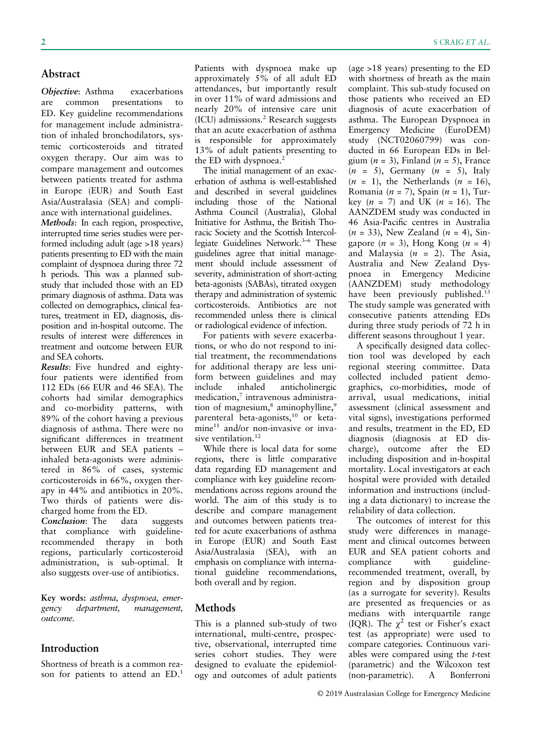### Abstract

Objective: Asthma exacerbations are common presentations to ED. Key guideline recommendations for management include administration of inhaled bronchodilators, systemic corticosteroids and titrated oxygen therapy. Our aim was to compare management and outcomes between patients treated for asthma in Europe (EUR) and South East Asia/Australasia (SEA) and compliance with international guidelines.

Methods: In each region, prospective, interrupted time series studies were performed including adult (age >18 years) patients presenting to ED with the main complaint of dyspnoea during three 72 h periods. This was a planned substudy that included those with an ED primary diagnosis of asthma. Data was collected on demographics, clinical features, treatment in ED, diagnosis, disposition and in-hospital outcome. The results of interest were differences in treatment and outcome between EUR and SEA cohorts.

Results: Five hundred and eightyfour patients were identified from 112 EDs (66 EUR and 46 SEA). The cohorts had similar demographics and co-morbidity patterns, with 89% of the cohort having a previous diagnosis of asthma. There were no significant differences in treatment between EUR and SEA patients – inhaled beta-agonists were administered in 86% of cases, systemic corticosteroids in 66%, oxygen therapy in 44% and antibiotics in 20%. Two thirds of patients were discharged home from the ED.

Conclusion: The data suggests that compliance with guidelinerecommended therapy in both regions, particularly corticosteroid administration, is sub-optimal. It also suggests over-use of antibiotics.

Key words: asthma, dyspnoea, emergency department, management, outcome.

### Introduction

Shortness of breath is a common reason for patients to attend an ED.<sup>1</sup>

Patients with dyspnoea make up approximately 5% of all adult ED attendances, but importantly result in over 11% of ward admissions and nearly 20% of intensive care unit (ICU) admissions.<sup>2</sup> Research suggests that an acute exacerbation of asthma is responsible for approximately 13% of adult patients presenting to the ED with dyspnoea.<sup>2</sup>

The initial management of an exacerbation of asthma is well-established and described in several guidelines including those of the National Asthma Council (Australia), Global Initiative for Asthma, the British Thoracic Society and the Scottish Intercollegiate Guidelines Network.3–<sup>6</sup> These guidelines agree that initial management should include assessment of severity, administration of short-acting beta-agonists (SABAs), titrated oxygen therapy and administration of systemic corticosteroids. Antibiotics are not recommended unless there is clinical or radiological evidence of infection.

For patients with severe exacerbations, or who do not respond to initial treatment, the recommendations for additional therapy are less uniform between guidelines and may include inhaled anticholinergic medication,<sup>7</sup> intravenous administration of magnesium, $\frac{8}{3}$  aminophylline, $\frac{9}{3}$ parenteral beta-agonists, $10$  or keta $mine<sup>11</sup>$  and/or non-invasive or invasive ventilation.<sup>12</sup>

While there is local data for some regions, there is little comparative data regarding ED management and compliance with key guideline recommendations across regions around the world. The aim of this study is to describe and compare management and outcomes between patients treated for acute exacerbations of asthma in Europe (EUR) and South East Asia/Australasia (SEA), with an emphasis on compliance with international guideline recommendations, both overall and by region.

#### Methods

This is a planned sub-study of two international, multi-centre, prospective, observational, interrupted time series cohort studies. They were designed to evaluate the epidemiology and outcomes of adult patients

(age >18 years) presenting to the ED with shortness of breath as the main complaint. This sub-study focused on those patients who received an ED diagnosis of acute exacerbation of asthma. The European Dyspnoea in Emergency Medicine (EuroDEM) study (NCT02060799) was conducted in 66 European EDs in Belgium ( $n = 3$ ), Finland ( $n = 5$ ), France  $(n = 5)$ , Germany  $(n = 5)$ , Italy  $(n = 1)$ , the Netherlands  $(n = 16)$ , Romania ( $n = 7$ ), Spain ( $n = 1$ ), Turkey ( $n = 7$ ) and UK ( $n = 16$ ). The AANZDEM study was conducted in 46 Asia-Pacific centres in Australia  $(n = 33)$ , New Zealand  $(n = 4)$ , Singapore  $(n = 3)$ , Hong Kong  $(n = 4)$ and Malaysia  $(n = 2)$ . The Asia, Australia and New Zealand Dyspnoea in Emergency Medicine (AANZDEM) study methodology have been previously published.<sup>13</sup> The study sample was generated with consecutive patients attending EDs during three study periods of 72 h in different seasons throughout 1 year.

A specifically designed data collection tool was developed by each regional steering committee. Data collected included patient demographics, co-morbidities, mode of arrival, usual medications, initial assessment (clinical assessment and vital signs), investigations performed and results, treatment in the ED, ED diagnosis (diagnosis at ED discharge), outcome after the ED including disposition and in-hospital mortality. Local investigators at each hospital were provided with detailed information and instructions (including a data dictionary) to increase the reliability of data collection.

The outcomes of interest for this study were differences in management and clinical outcomes between EUR and SEA patient cohorts and compliance with guidelinerecommended treatment, overall, by region and by disposition group (as a surrogate for severity). Results are presented as frequencies or as medians with interquartile range (IQR). The  $\chi^2$  test or Fisher's exact test (as appropriate) were used to compare categories. Continuous variables were compared using the t-test (parametric) and the Wilcoxon test (non-parametric). A Bonferroni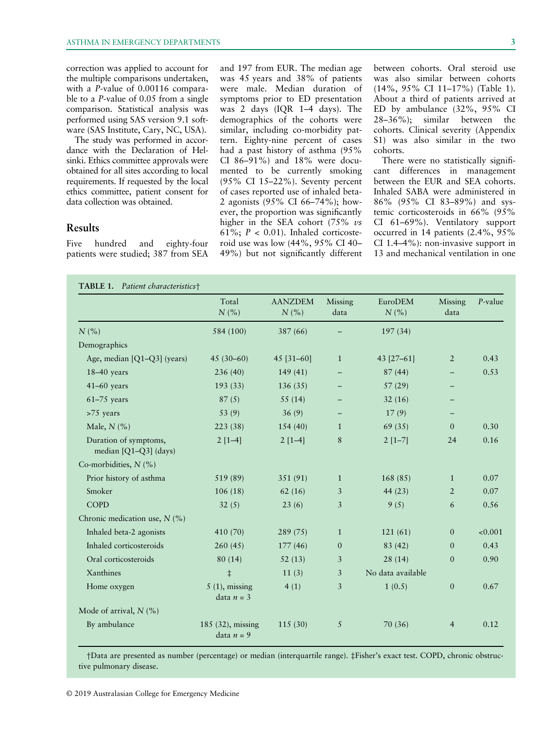correction was applied to account for the multiple comparisons undertaken, with a P-value of 0.00116 comparable to a P-value of 0.05 from a single comparison. Statistical analysis was performed using SAS version 9.1 software (SAS Institute, Cary, NC, USA).

The study was performed in accordance with the Declaration of Helsinki. Ethics committee approvals were obtained for all sites according to local requirements. If requested by the local ethics committee, patient consent for data collection was obtained.

# Results

Five hundred and eighty-four patients were studied; 387 from SEA

and 197 from EUR. The median age was 45 years and 38% of patients were male. Median duration of symptoms prior to ED presentation was 2 days (IQR 1–4 days). The demographics of the cohorts were similar, including co-morbidity pattern. Eighty-nine percent of cases had a past history of asthma (95% CI 86–91%) and 18% were documented to be currently smoking (95% CI 15–22%). Seventy percent of cases reported use of inhaled beta-2 agonists (95% CI 66–74%); however, the proportion was significantly higher in the SEA cohort (75% vs 61%;  $P < 0.01$ ). Inhaled corticosteroid use was low (44%, 95% CI 40– 49%) but not significantly different between cohorts. Oral steroid use was also similar between cohorts (14%, 95% CI 11–17%) (Table 1). About a third of patients arrived at ED by ambulance (32%, 95% CI 28–36%); similar between the cohorts. Clinical severity (Appendix S1) was also similar in the two cohorts.

There were no statistically significant differences in management between the EUR and SEA cohorts. Inhaled SABA were administered in 86% (95% CI 83–89%) and systemic corticosteroids in 66% (95% CI 61–69%). Ventilatory support occurred in 14 patients (2.4%, 95% CI 1.4–4%): non-invasive support in 13 and mechanical ventilation in one

|                                                | Total<br>N(%                      | <b>AANZDEM</b><br>N(% | Missing<br>data          | EuroDEM<br>N(%    | Missing<br>data | P-value |
|------------------------------------------------|-----------------------------------|-----------------------|--------------------------|-------------------|-----------------|---------|
| N(%                                            | 584 (100)                         | 387 (66)              |                          | 197 (34)          |                 |         |
| Demographics                                   |                                   |                       |                          |                   |                 |         |
| Age, median [Q1-Q3] (years)                    | 45 $(30-60)$                      | 45 $[31-60]$          | $\mathbf{1}$             | 43 [27-61]        | $\overline{2}$  | 0.43    |
| 18-40 years                                    | 236(40)                           | 149(41)               | $\overline{\phantom{m}}$ | 87(44)            | —               | 0.53    |
| $41-60$ years                                  | 193 (33)                          | 136(35)               |                          | 57 (29)           |                 |         |
| $61-75$ years                                  | 87(5)                             | 55(14)                |                          | 32(16)            |                 |         |
| >75 years                                      | 53 (9)                            | 36(9)                 |                          | 17(9)             |                 |         |
| Male, $N$ (%)                                  | 223(38)                           | 154(40)               | $\mathbf{1}$             | 69(35)            | $\Omega$        | 0.30    |
| Duration of symptoms,<br>median [Q1-Q3] (days) | $2[1-4]$                          | $2[1-4]$              | 8                        | $2[1-7]$          | 24              | 0.16    |
| Co-morbidities, N (%)                          |                                   |                       |                          |                   |                 |         |
| Prior history of asthma                        | 519 (89)                          | 351 (91)              | $\mathbf{1}$             | 168 (85)          | $\mathbf{1}$    | 0.07    |
| Smoker                                         | 106(18)                           | 62(16)                | 3                        | 44(23)            | $\overline{2}$  | 0.07    |
| <b>COPD</b>                                    | 32(5)                             | 23(6)                 | 3                        | 9(5)              | 6               | 0.56    |
| Chronic medication use, $N$ (%)                |                                   |                       |                          |                   |                 |         |
| Inhaled beta-2 agonists                        | 410 (70)                          | 289(75)               | $\mathbf{1}$             | 121(61)           | $\overline{0}$  | < 0.001 |
| Inhaled corticosteroids                        | 260(45)                           | 177(46)               | $\overline{0}$           | 83 (42)           | $\Omega$        | 0.43    |
| Oral corticosteroids                           | 80(14)                            | 52(13)                | 3                        | 28(14)            | $\overline{0}$  | 0.90    |
| Xanthines                                      | $\ddagger$                        | 11(3)                 | 3                        | No data available |                 |         |
| Home oxygen                                    | $5(1)$ , missing<br>data $n = 3$  | 4(1)                  | 3                        | 1(0.5)            | $\overline{0}$  | 0.67    |
| Mode of arrival, $N$ (%)                       |                                   |                       |                          |                   |                 |         |
| By ambulance                                   | 185 (32), missing<br>data $n = 9$ | 115(30)               | 5                        | 70(36)            | $\overline{4}$  | 0.12    |

†Data are presented as number (percentage) or median (interquartile range). ‡Fisher's exact test. COPD, chronic obstructive pulmonary disease.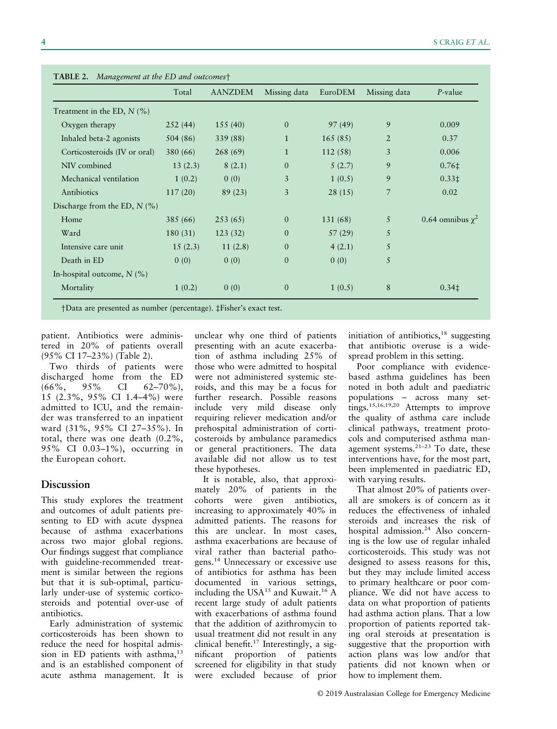|                                | Total    | <b>AANZDEM</b> | Missing data   | EuroDEM  | Missing data   | $P$ -value            |
|--------------------------------|----------|----------------|----------------|----------|----------------|-----------------------|
| Treatment in the ED, $N$ (%)   |          |                |                |          |                |                       |
| Oxygen therapy                 | 252(44)  | 155(40)        | $\overline{0}$ | 97(49)   | 9              | 0.009                 |
| Inhaled beta-2 agonists        | 504 (86) | 339 (88)       | $\mathbf{1}$   | 165(85)  | $\overline{2}$ | 0.37                  |
| Corticosteroids (IV or oral)   | 380 (66) | 268(69)        | $\mathbf{1}$   | 112(58)  | 3              | 0.006                 |
| NIV combined                   | 13(2.3)  | 8(2.1)         | $\overline{0}$ | 5(2.7)   | 9              | $0.76\pm$             |
| Mechanical ventilation         | 1(0.2)   | 0(0)           | 3              | 1(0.5)   | 9              | $0.33 \pm 1$          |
| Antibiotics                    | 117(20)  | 89(23)         | 3              | 28(15)   | 7              | 0.02                  |
| Discharge from the ED, $N$ (%) |          |                |                |          |                |                       |
| Home                           | 385 (66) | 253(65)        | $\theta$       | 131 (68) | 5              | 0.64 omnibus $\chi^2$ |
| Ward                           | 180(31)  | 123(32)        | $\Omega$       | 57 (29)  | 5              |                       |
| Intensive care unit            | 15(2.3)  | 11(2.8)        | $\overline{0}$ | 4(2.1)   | 5              |                       |
| Death in ED                    | 0(0)     | 0(0)           | $\overline{0}$ | 0(0)     | 5              |                       |
| In-hospital outcome, $N$ (%)   |          |                |                |          |                |                       |
| Mortality                      | 1(0.2)   | 0(0)           | $\theta$       | 1(0.5)   | 8              | $0.34\pm$             |

TABLE 2. Management at the ED and outcomes†

†Data are presented as number (percentage). ‡Fisher's exact test.

patient. Antibiotics were administered in 20% of patients overall (95% CI 17–23%) (Table 2).

Two thirds of patients were discharged home from the ED  $(66\%$ , 95% CI  $62-70\%$ ),  $(66\%, 95\% \text{ CI} 62-70\%),$ 15 (2.3%, 95% CI 1.4–4%) were admitted to ICU, and the remainder was transferred to an inpatient ward (31%, 95% CI 27–35%). In total, there was one death (0.2%, 95% CI 0.03–1%), occurring in the European cohort.

#### Discussion

This study explores the treatment and outcomes of adult patients presenting to ED with acute dyspnea because of asthma exacerbations across two major global regions. Our findings suggest that compliance with guideline-recommended treatment is similar between the regions but that it is sub-optimal, particularly under-use of systemic corticosteroids and potential over-use of antibiotics.

Early administration of systemic corticosteroids has been shown to reduce the need for hospital admission in ED patients with asthma, $^{13}$ and is an established component of acute asthma management. It is

unclear why one third of patients presenting with an acute exacerbation of asthma including 25% of those who were admitted to hospital were not administered systemic steroids, and this may be a focus for further research. Possible reasons include very mild disease only requiring reliever medication and/or prehospital administration of corticosteroids by ambulance paramedics or general practitioners. The data available did not allow us to test these hypotheses.

It is notable, also, that approximately 20% of patients in the cohorts were given antibiotics, increasing to approximately 40% in admitted patients. The reasons for this are unclear. In most cases, asthma exacerbations are because of viral rather than bacterial pathogens.<sup>14</sup> Unnecessary or excessive use of antibiotics for asthma has been documented in various settings, including the USA<sup>15</sup> and Kuwait.<sup>16</sup> A recent large study of adult patients with exacerbations of asthma found that the addition of azithromycin to usual treatment did not result in any clinical benefit.<sup>17</sup> Interestingly, a significant proportion of patients screened for eligibility in that study were excluded because of prior

initiation of antibiotics, $18$  suggesting that antibiotic overuse is a widespread problem in this setting.

Poor compliance with evidencebased asthma guidelines has been noted in both adult and paediatric populations – across many settings.15,16,19,20 Attempts to improve the quality of asthma care include clinical pathways, treatment protocols and computerised asthma management systems. $21-23$  To date, these interventions have, for the most part, been implemented in paediatric ED, with varying results.

That almost 20% of patients overall are smokers is of concern as it reduces the effectiveness of inhaled steroids and increases the risk of hospital admission.<sup>24</sup> Also concerning is the low use of regular inhaled corticosteroids. This study was not designed to assess reasons for this, but they may include limited access to primary healthcare or poor compliance. We did not have access to data on what proportion of patients had asthma action plans. That a low proportion of patients reported taking oral steroids at presentation is suggestive that the proportion with action plans was low and/or that patients did not known when or how to implement them.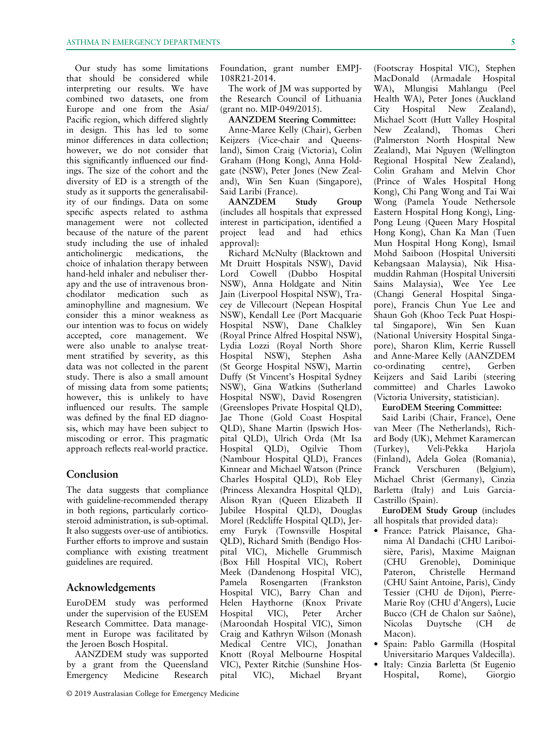Our study has some limitations that should be considered while interpreting our results. We have combined two datasets, one from Europe and one from the Asia/ Pacific region, which differed slightly in design. This has led to some minor differences in data collection; however, we do not consider that this significantly influenced our findings. The size of the cohort and the diversity of ED is a strength of the study as it supports the generalisability of our findings. Data on some specific aspects related to asthma management were not collected because of the nature of the parent study including the use of inhaled anticholinergic medications, the choice of inhalation therapy between hand-held inhaler and nebuliser therapy and the use of intravenous bronchodilator medication such as aminophylline and magnesium. We consider this a minor weakness as our intention was to focus on widely accepted, core management. We were also unable to analyse treatment stratified by severity, as this data was not collected in the parent study. There is also a small amount of missing data from some patients; however, this is unlikely to have influenced our results. The sample was defined by the final ED diagnosis, which may have been subject to miscoding or error. This pragmatic approach reflects real-world practice.

## Conclusion

The data suggests that compliance with guideline-recommended therapy in both regions, particularly corticosteroid administration, is sub-optimal. It also suggests over-use of antibiotics. Further efforts to improve and sustain compliance with existing treatment guidelines are required.

#### Acknowledgements

EuroDEM study was performed under the supervision of the EUSEM Research Committee. Data management in Europe was facilitated by the Jeroen Bosch Hospital.

AANZDEM study was supported by a grant from the Queensland Emergency Medicine Research

Foundation, grant number EMPJ-108R21-2014.

The work of JM was supported by the Research Council of Lithuania (grant no. MIP-049/2015).

AANZDEM Steering Committee:

Anne-Maree Kelly (Chair), Gerben Keijzers (Vice-chair and Queensland), Simon Craig (Victoria), Colin Graham (Hong Kong), Anna Holdgate (NSW), Peter Jones (New Zealand), Win Sen Kuan (Singapore), Said Laribi (France).

AANZDEM Study Group (includes all hospitals that expressed interest in participation, identified a project lead and had ethics approval):

Richard McNulty (Blacktown and Mt Druitt Hospitals NSW), David Lord Cowell (Dubbo Hospital NSW), Anna Holdgate and Nitin Jain (Liverpool Hospital NSW), Tracey de Villecourt (Nepean Hospital NSW), Kendall Lee (Port Macquarie Hospital NSW), Dane Chalkley (Royal Prince Alfred Hospital NSW), Lydia Lozzi (Royal North Shore Hospital NSW), Stephen Asha (St George Hospital NSW), Martin Duffy (St Vincent's Hospital Sydney NSW), Gina Watkins (Sutherland Hospital NSW), David Rosengren (Greenslopes Private Hospital QLD), Jae Thone (Gold Coast Hospital QLD), Shane Martin (Ipswich Hospital QLD), Ulrich Orda (Mt Isa Hospital QLD), Ogilvie Thom (Nambour Hospital QLD), Frances Kinnear and Michael Watson (Prince Charles Hospital QLD), Rob Eley (Princess Alexandra Hospital QLD), Alison Ryan (Queen Elizabeth II Jubilee Hospital QLD), Douglas Morel (Redcliffe Hospital QLD), Jeremy Furyk (Townsville Hospital QLD), Richard Smith (Bendigo Hospital VIC), Michelle Grummisch (Box Hill Hospital VIC), Robert Meek (Dandenong Hospital VIC), Pamela Rosengarten (Frankston Hospital VIC), Barry Chan and Helen Haythorne (Knox Private Hospital VIC), Peter Archer (Maroondah Hospital VIC), Simon Craig and Kathryn Wilson (Monash Medical Centre VIC), Jonathan Knott (Royal Melbourne Hospital VIC), Pexter Ritchie (Sunshine Hospital VIC), Michael Bryant (Footscray Hospital VIC), Stephen MacDonald (Armadale Hospital WA), Mlungisi Mahlangu (Peel Health WA), Peter Jones (Auckland City Hospital New Zealand), Michael Scott (Hutt Valley Hospital New Zealand), Thomas Cheri (Palmerston North Hospital New Zealand), Mai Nguyen (Wellington Regional Hospital New Zealand), Colin Graham and Melvin Chor (Prince of Wales Hospital Hong Kong), Chi Pang Wong and Tai Wai Wong (Pamela Youde Nethersole Eastern Hospital Hong Kong), Ling-Pong Leung (Queen Mary Hospital Hong Kong), Chan Ka Man (Tuen Mun Hospital Hong Kong), Ismail Mohd Saiboon (Hospital Universiti Kebangsaan Malaysia), Nik Hisamuddin Rahman (Hospital Universiti Sains Malaysia), Wee Yee Lee (Changi General Hospital Singapore), Francis Chun Yue Lee and Shaun Goh (Khoo Teck Puat Hospital Singapore), Win Sen Kuan (National University Hospital Singapore), Sharon Klim, Kerrie Russell and Anne-Maree Kelly (AANZDEM co-ordinating centre), Gerben Keijzers and Said Laribi (steering committee) and Charles Lawoko (Victoria University, statistician).

#### EuroDEM Steering Committee:

Said Laribi (Chair, France), Oene van Meer (The Netherlands), Richard Body (UK), Mehmet Karamercan (Turkey), Veli-Pekka Harjola (Finland), Adela Golea (Romania), Franck Verschuren (Belgium), Michael Christ (Germany), Cinzia Barletta (Italy) and Luis Garcia-Castrillo (Spain).

EuroDEM Study Group (includes all hospitals that provided data):

- France: Patrick Plaisance, Ghanima Al Dandachi (CHU Lariboisière, Paris), Maxime Maignan<br>(CHU Grenoble), Dominique Grenoble), Dominique Pateron, Christelle Hermand (CHU Saint Antoine, Paris), Cindy Tessier (CHU de Dijon), Pierre-Marie Roy (CHU d'Angers), Lucie Bucco (CH de Chalon sur Saône), Nicolas Duytsche (CH de Macon).
- Spain: Pablo Garmilla (Hospital Universitario Marques Valdecilla).
- Italy: Cinzia Barletta (St Eugenio Hospital, Rome), Giorgio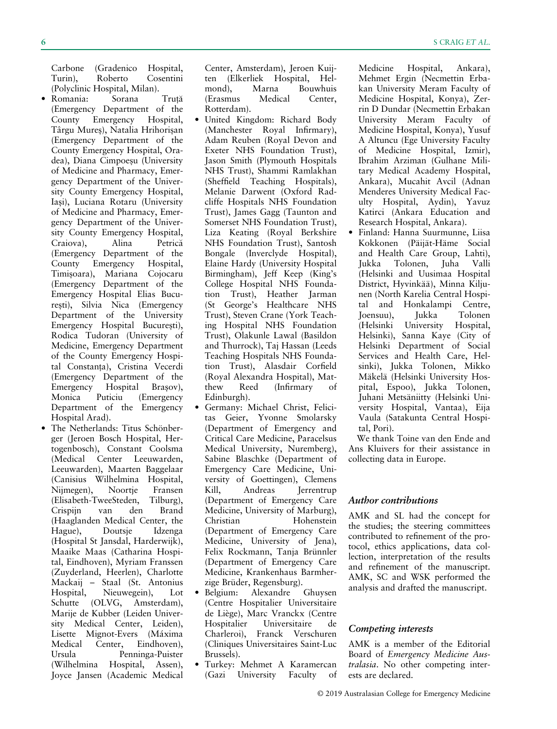Carbone (Gradenico Hospital, Turin), Roberto Cosentini (Polyclinic Hospital, Milan).

- Romania: Sorana Truța (Emergency Department of the County Emergency Hospital, Târgu Mureș), Natalia Hrihorișan (Emergency Department of the County Emergency Hospital, Oradea), Diana Cimpoeșu (University of Medicine and Pharmacy, Emergency Department of the University County Emergency Hospital, Iași), Luciana Rotaru (University of Medicine and Pharmacy, Emergency Department of the University County Emergency Hospital, Craiova), Alina Petrica (Emergency Department of the County Emergency Hospital, Timișoara), Mariana Cojocaru (Emergency Department of the Emergency Hospital Elias București), Silvia Nica (Emergency Department of the University Emergency Hospital București), Rodica Tudoran (University of Medicine, Emergency Department of the County Emergency Hospital Constanța), Cristina Vecerdi (Emergency Department of the Emergency Hospital Brașov), Monica Puticiu (Emergency Department of the Emergency Hospital Arad).
- The Netherlands: Titus Schönberger (Jeroen Bosch Hospital, Hertogenbosch), Constant Coolsma (Medical Center Leeuwarden, Leeuwarden), Maarten Baggelaar (Canisius Wilhelmina Hospital, Nijmegen), Noortje Fransen (Elisabeth-TweeSteden, Tilburg), Crispijn van den Brand (Haaglanden Medical Center, the Hague), Doutsje Idzenga (Hospital St Jansdal, Harderwijk), Maaike Maas (Catharina Hospital, Eindhoven), Myriam Franssen (Zuyderland, Heerlen), Charlotte Mackaij – Staal (St. Antonius Hospital, Nieuwegein), Lot Schutte (OLVG, Amsterdam), Marije de Kubber (Leiden University Medical Center, Leiden), Lisette Mignot-Evers (Máxima Medical Center, Eindhoven), Ursula Penninga-Puister (Wilhelmina Hospital, Assen), Joyce Jansen (Academic Medical

Center, Amsterdam), Jeroen Kuijten (Elkerliek Hospital, Helmond), Marna Bouwhuis (Erasmus Medical Center, Rotterdam).

- United Kingdom: Richard Body (Manchester Royal Infirmary), Adam Reuben (Royal Devon and Exeter NHS Foundation Trust), Jason Smith (Plymouth Hospitals NHS Trust), Shammi Ramlakhan (Sheffield Teaching Hospitals), Melanie Darwent (Oxford Radcliffe Hospitals NHS Foundation Trust), James Gagg (Taunton and Somerset NHS Foundation Trust), Liza Keating (Royal Berkshire NHS Foundation Trust), Santosh Bongale (Inverclyde Hospital), Elaine Hardy (University Hospital Birmingham), Jeff Keep (King's College Hospital NHS Foundation Trust), Heather Jarman (St George's Healthcare NHS Trust), Steven Crane (York Teaching Hospital NHS Foundation Trust), Olakunle Lawal (Basildon and Thurrock), Taj Hassan (Leeds Teaching Hospitals NHS Foundation Trust), Alasdair Corfield (Royal Alexandra Hospital), Matthew Reed (Infirmary of Edinburgh).
- Germany: Michael Christ, Felicitas Geier, Yvonne Smolarsky (Department of Emergency and Critical Care Medicine, Paracelsus Medical University, Nuremberg), Sabine Blaschke (Department of Emergency Care Medicine, University of Goettingen), Clemens Kill, Andreas Jerrentrup (Department of Emergency Care Medicine, University of Marburg), Christian Hohenstein (Department of Emergency Care Medicine, University of Jena), Felix Rockmann, Tanja Brünnler (Department of Emergency Care Medicine, Krankenhaus Barmherzige Brüder, Regensburg).
- Belgium: Alexandre Ghuysen (Centre Hospitalier Universitaire de Liège), Marc Vranckx (Centre Hospitalier Universitaire de Charleroi), Franck Verschuren (Cliniques Universitaires Saint-Luc Brussels).
- Turkey: Mehmet A Karamercan (Gazi University Faculty of

Medicine Hospital, Ankara), Mehmet Ergin (Necmettin Erbakan University Meram Faculty of Medicine Hospital, Konya), Zerrin D Dundar (Necmettin Erbakan University Meram Faculty of Medicine Hospital, Konya), Yusuf A Altuncu (Ege University Faculty of Medicine Hospital, Izmir), Ibrahim Arziman (Gulhane Military Medical Academy Hospital, Ankara), Mucahit Avcil (Adnan Menderes University Medical Faculty Hospital, Aydin), Yavuz Katirci (Ankara Education and Research Hospital, Ankara).

• Finland: Hanna Suurmunne, Liisa Kokkonen (Päijät-Häme Social and Health Care Group, Lahti), Jukka Tolonen, Juha Valli (Helsinki and Uusimaa Hospital District, Hyvinkää), Minna Kiljunen (North Karelia Central Hospital and Honkalampi Centre, Joensuu), Jukka Tolonen (Helsinki University Hospital, Helsinki), Sanna Kaye (City of Helsinki Department of Social Services and Health Care, Helsinki), Jukka Tolonen, Mikko Mäkelä (Helsinki University Hospital, Espoo), Jukka Tolonen, Juhani Metsäniitty (Helsinki University Hospital, Vantaa), Eija Vaula (Satakunta Central Hospital, Pori).

We thank Toine van den Ende and Ans Kluivers for their assistance in collecting data in Europe.

#### Author contributions

AMK and SL had the concept for the studies; the steering committees contributed to refinement of the protocol, ethics applications, data collection, interpretation of the results and refinement of the manuscript. AMK, SC and WSK performed the analysis and drafted the manuscript.

#### Competing interests

AMK is a member of the Editorial Board of Emergency Medicine Australasia. No other competing interests are declared.